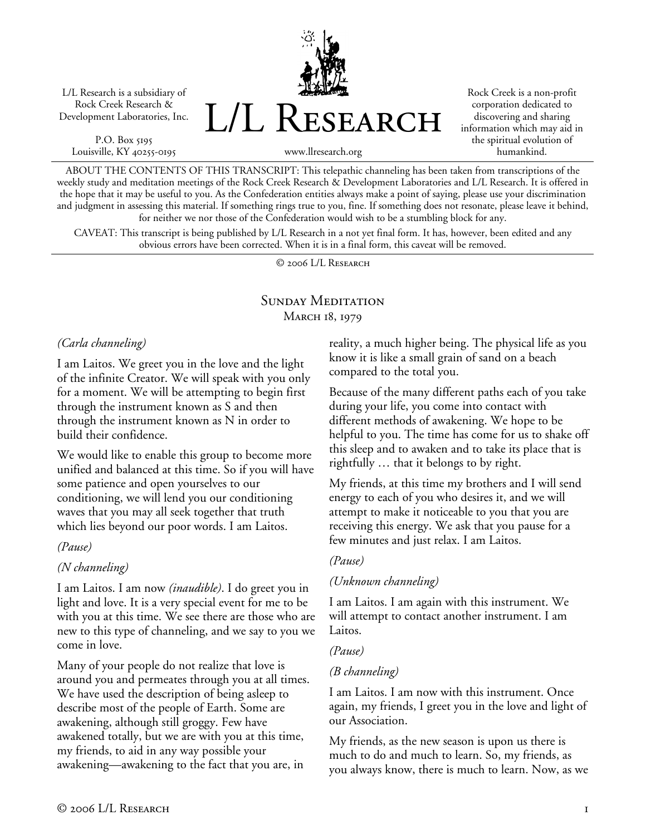L/L Research is a subsidiary of Rock Creek Research & Development Laboratories, Inc.

P.O. Box 5195 Louisville, KY 40255-0195 L/L Research

Rock Creek is a non-profit corporation dedicated to discovering and sharing information which may aid in the spiritual evolution of humankind.

www.llresearch.org

ABOUT THE CONTENTS OF THIS TRANSCRIPT: This telepathic channeling has been taken from transcriptions of the weekly study and meditation meetings of the Rock Creek Research & Development Laboratories and L/L Research. It is offered in the hope that it may be useful to you. As the Confederation entities always make a point of saying, please use your discrimination and judgment in assessing this material. If something rings true to you, fine. If something does not resonate, please leave it behind, for neither we nor those of the Confederation would wish to be a stumbling block for any.

CAVEAT: This transcript is being published by L/L Research in a not yet final form. It has, however, been edited and any obvious errors have been corrected. When it is in a final form, this caveat will be removed.

© 2006 L/L Research

# SUNDAY MEDITATION MARCH 18, 1979

#### *(Carla channeling)*

I am Laitos. We greet you in the love and the light of the infinite Creator. We will speak with you only for a moment. We will be attempting to begin first through the instrument known as S and then through the instrument known as N in order to build their confidence.

We would like to enable this group to become more unified and balanced at this time. So if you will have some patience and open yourselves to our conditioning, we will lend you our conditioning waves that you may all seek together that truth which lies beyond our poor words. I am Laitos.

#### *(Pause)*

## *(N channeling)*

I am Laitos. I am now *(inaudible)*. I do greet you in light and love. It is a very special event for me to be with you at this time. We see there are those who are new to this type of channeling, and we say to you we come in love.

Many of your people do not realize that love is around you and permeates through you at all times. We have used the description of being asleep to describe most of the people of Earth. Some are awakening, although still groggy. Few have awakened totally, but we are with you at this time, my friends, to aid in any way possible your awakening—awakening to the fact that you are, in

reality, a much higher being. The physical life as you know it is like a small grain of sand on a beach compared to the total you.

Because of the many different paths each of you take during your life, you come into contact with different methods of awakening. We hope to be helpful to you. The time has come for us to shake off this sleep and to awaken and to take its place that is rightfully … that it belongs to by right.

My friends, at this time my brothers and I will send energy to each of you who desires it, and we will attempt to make it noticeable to you that you are receiving this energy. We ask that you pause for a few minutes and just relax. I am Laitos.

## *(Pause)*

## *(Unknown channeling)*

I am Laitos. I am again with this instrument. We will attempt to contact another instrument. I am Laitos.

## *(Pause)*

## *(B channeling)*

I am Laitos. I am now with this instrument. Once again, my friends, I greet you in the love and light of our Association.

My friends, as the new season is upon us there is much to do and much to learn. So, my friends, as you always know, there is much to learn. Now, as we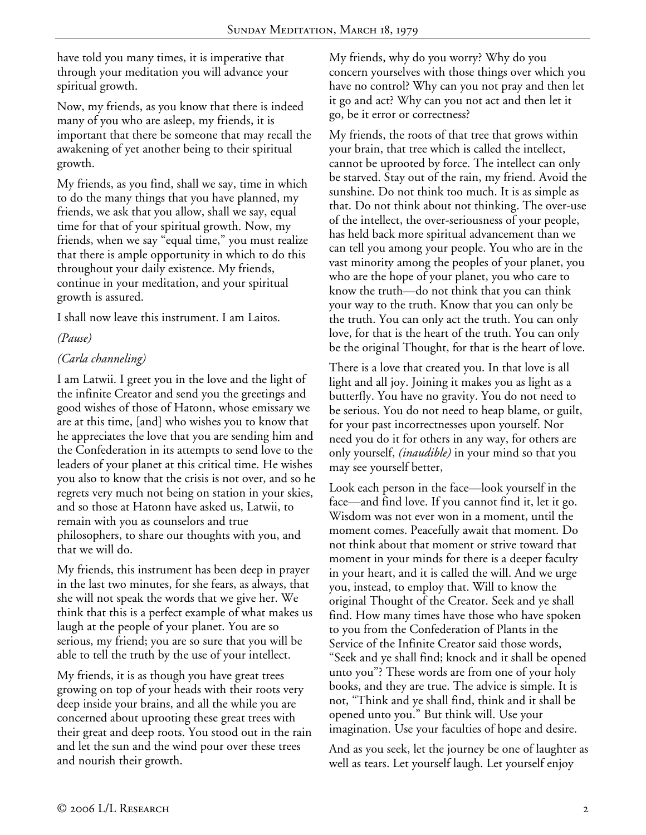have told you many times, it is imperative that through your meditation you will advance your spiritual growth.

Now, my friends, as you know that there is indeed many of you who are asleep, my friends, it is important that there be someone that may recall the awakening of yet another being to their spiritual growth.

My friends, as you find, shall we say, time in which to do the many things that you have planned, my friends, we ask that you allow, shall we say, equal time for that of your spiritual growth. Now, my friends, when we say "equal time," you must realize that there is ample opportunity in which to do this throughout your daily existence. My friends, continue in your meditation, and your spiritual growth is assured.

I shall now leave this instrument. I am Laitos.

*(Pause)* 

## *(Carla channeling)*

I am Latwii. I greet you in the love and the light of the infinite Creator and send you the greetings and good wishes of those of Hatonn, whose emissary we are at this time, [and] who wishes you to know that he appreciates the love that you are sending him and the Confederation in its attempts to send love to the leaders of your planet at this critical time. He wishes you also to know that the crisis is not over, and so he regrets very much not being on station in your skies, and so those at Hatonn have asked us, Latwii, to remain with you as counselors and true philosophers, to share our thoughts with you, and that we will do.

My friends, this instrument has been deep in prayer in the last two minutes, for she fears, as always, that she will not speak the words that we give her. We think that this is a perfect example of what makes us laugh at the people of your planet. You are so serious, my friend; you are so sure that you will be able to tell the truth by the use of your intellect.

My friends, it is as though you have great trees growing on top of your heads with their roots very deep inside your brains, and all the while you are concerned about uprooting these great trees with their great and deep roots. You stood out in the rain and let the sun and the wind pour over these trees and nourish their growth.

My friends, why do you worry? Why do you concern yourselves with those things over which you have no control? Why can you not pray and then let it go and act? Why can you not act and then let it go, be it error or correctness?

My friends, the roots of that tree that grows within your brain, that tree which is called the intellect, cannot be uprooted by force. The intellect can only be starved. Stay out of the rain, my friend. Avoid the sunshine. Do not think too much. It is as simple as that. Do not think about not thinking. The over-use of the intellect, the over-seriousness of your people, has held back more spiritual advancement than we can tell you among your people. You who are in the vast minority among the peoples of your planet, you who are the hope of your planet, you who care to know the truth—do not think that you can think your way to the truth. Know that you can only be the truth. You can only act the truth. You can only love, for that is the heart of the truth. You can only be the original Thought, for that is the heart of love.

There is a love that created you. In that love is all light and all joy. Joining it makes you as light as a butterfly. You have no gravity. You do not need to be serious. You do not need to heap blame, or guilt, for your past incorrectnesses upon yourself. Nor need you do it for others in any way, for others are only yourself, *(inaudible)* in your mind so that you may see yourself better,

Look each person in the face—look yourself in the face—and find love. If you cannot find it, let it go. Wisdom was not ever won in a moment, until the moment comes. Peacefully await that moment. Do not think about that moment or strive toward that moment in your minds for there is a deeper faculty in your heart, and it is called the will. And we urge you, instead, to employ that. Will to know the original Thought of the Creator. Seek and ye shall find. How many times have those who have spoken to you from the Confederation of Plants in the Service of the Infinite Creator said those words, "Seek and ye shall find; knock and it shall be opened unto you"? These words are from one of your holy books, and they are true. The advice is simple. It is not, "Think and ye shall find, think and it shall be opened unto you." But think will. Use your imagination. Use your faculties of hope and desire.

And as you seek, let the journey be one of laughter as well as tears. Let yourself laugh. Let yourself enjoy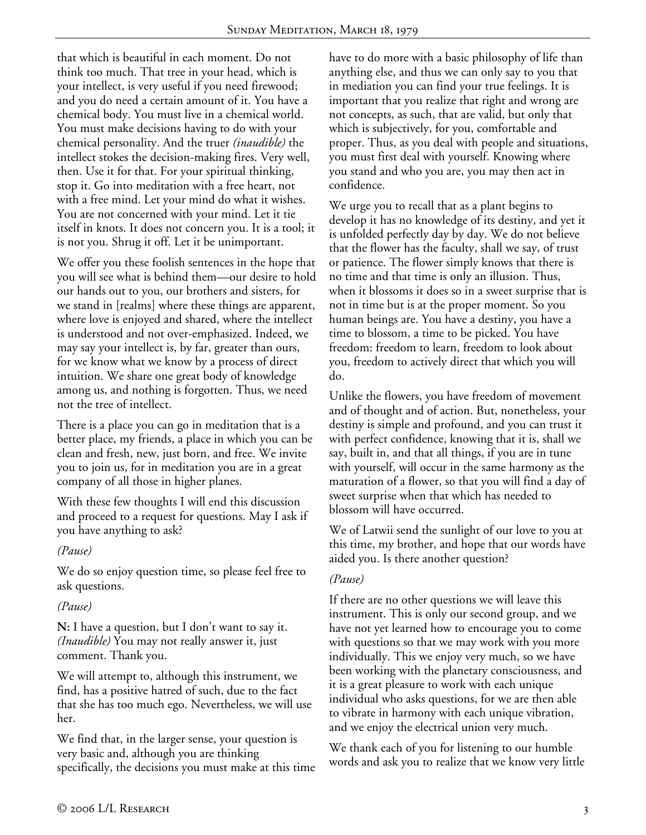that which is beautiful in each moment. Do not think too much. That tree in your head, which is your intellect, is very useful if you need firewood; and you do need a certain amount of it. You have a chemical body. You must live in a chemical world. You must make decisions having to do with your chemical personality. And the truer *(inaudible)* the intellect stokes the decision-making fires. Very well, then. Use it for that. For your spiritual thinking, stop it. Go into meditation with a free heart, not with a free mind. Let your mind do what it wishes. You are not concerned with your mind. Let it tie itself in knots. It does not concern you. It is a tool; it is not you. Shrug it off. Let it be unimportant.

We offer you these foolish sentences in the hope that you will see what is behind them—our desire to hold our hands out to you, our brothers and sisters, for we stand in [realms] where these things are apparent, where love is enjoyed and shared, where the intellect is understood and not over-emphasized. Indeed, we may say your intellect is, by far, greater than ours, for we know what we know by a process of direct intuition. We share one great body of knowledge among us, and nothing is forgotten. Thus, we need not the tree of intellect.

There is a place you can go in meditation that is a better place, my friends, a place in which you can be clean and fresh, new, just born, and free. We invite you to join us, for in meditation you are in a great company of all those in higher planes.

With these few thoughts I will end this discussion and proceed to a request for questions. May I ask if you have anything to ask?

## *(Pause)*

We do so enjoy question time, so please feel free to ask questions.

#### *(Pause)*

**N:** I have a question, but I don't want to say it. *(Inaudible)* You may not really answer it, just comment. Thank you.

We will attempt to, although this instrument, we find, has a positive hatred of such, due to the fact that she has too much ego. Nevertheless, we will use her.

We find that, in the larger sense, your question is very basic and, although you are thinking specifically, the decisions you must make at this time have to do more with a basic philosophy of life than anything else, and thus we can only say to you that in mediation you can find your true feelings. It is important that you realize that right and wrong are not concepts, as such, that are valid, but only that which is subjectively, for you, comfortable and proper. Thus, as you deal with people and situations, you must first deal with yourself. Knowing where you stand and who you are, you may then act in confidence.

We urge you to recall that as a plant begins to develop it has no knowledge of its destiny, and yet it is unfolded perfectly day by day. We do not believe that the flower has the faculty, shall we say, of trust or patience. The flower simply knows that there is no time and that time is only an illusion. Thus, when it blossoms it does so in a sweet surprise that is not in time but is at the proper moment. So you human beings are. You have a destiny, you have a time to blossom, a time to be picked. You have freedom: freedom to learn, freedom to look about you, freedom to actively direct that which you will do.

Unlike the flowers, you have freedom of movement and of thought and of action. But, nonetheless, your destiny is simple and profound, and you can trust it with perfect confidence, knowing that it is, shall we say, built in, and that all things, if you are in tune with yourself, will occur in the same harmony as the maturation of a flower, so that you will find a day of sweet surprise when that which has needed to blossom will have occurred.

We of Latwii send the sunlight of our love to you at this time, my brother, and hope that our words have aided you. Is there another question?

## *(Pause)*

If there are no other questions we will leave this instrument. This is only our second group, and we have not yet learned how to encourage you to come with questions so that we may work with you more individually. This we enjoy very much, so we have been working with the planetary consciousness, and it is a great pleasure to work with each unique individual who asks questions, for we are then able to vibrate in harmony with each unique vibration, and we enjoy the electrical union very much.

We thank each of you for listening to our humble words and ask you to realize that we know very little